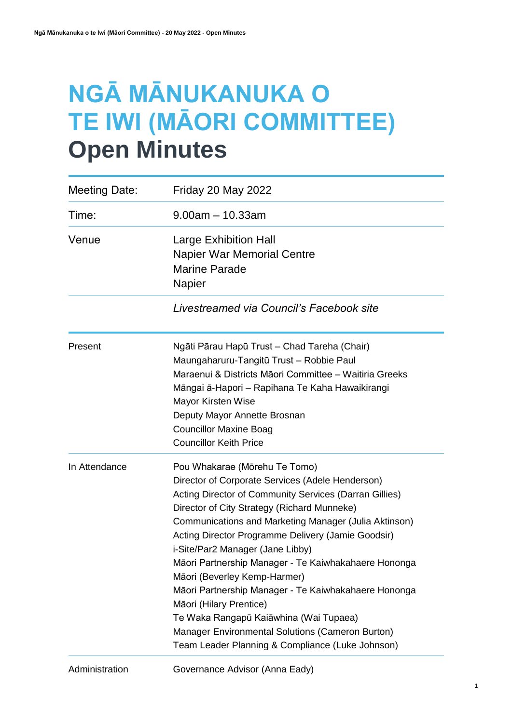# **NGĀ MĀNUKANUKA O TE IWI (MĀORI COMMITTEE) Open Minutes**

| Meeting Date: | <b>Friday 20 May 2022</b>                                                                                                                                                                                                                                                                                                                                                                                                                                                                                                                                                                                                                                                  |
|---------------|----------------------------------------------------------------------------------------------------------------------------------------------------------------------------------------------------------------------------------------------------------------------------------------------------------------------------------------------------------------------------------------------------------------------------------------------------------------------------------------------------------------------------------------------------------------------------------------------------------------------------------------------------------------------------|
| Time:         | $9.00am - 10.33am$                                                                                                                                                                                                                                                                                                                                                                                                                                                                                                                                                                                                                                                         |
| Venue         | Large Exhibition Hall<br><b>Napier War Memorial Centre</b><br><b>Marine Parade</b><br>Napier                                                                                                                                                                                                                                                                                                                                                                                                                                                                                                                                                                               |
|               | Livestreamed via Council's Facebook site                                                                                                                                                                                                                                                                                                                                                                                                                                                                                                                                                                                                                                   |
| Present       | Ngāti Pārau Hapū Trust - Chad Tareha (Chair)<br>Maungaharuru-Tangitū Trust - Robbie Paul<br>Maraenui & Districts Māori Committee - Waitiria Greeks<br>Māngai ā-Hapori - Rapihana Te Kaha Hawaikirangi<br>Mayor Kirsten Wise<br>Deputy Mayor Annette Brosnan<br><b>Councillor Maxine Boag</b><br><b>Councillor Keith Price</b>                                                                                                                                                                                                                                                                                                                                              |
| In Attendance | Pou Whakarae (Mōrehu Te Tomo)<br>Director of Corporate Services (Adele Henderson)<br>Acting Director of Community Services (Darran Gillies)<br>Director of City Strategy (Richard Munneke)<br>Communications and Marketing Manager (Julia Aktinson)<br>Acting Director Programme Delivery (Jamie Goodsir)<br>i-Site/Par2 Manager (Jane Libby)<br>Māori Partnership Manager - Te Kaiwhakahaere Hononga<br>Māori (Beverley Kemp-Harmer)<br>Māori Partnership Manager - Te Kaiwhakahaere Hononga<br>Māori (Hilary Prentice)<br>Te Waka Rangapū Kaiāwhina (Wai Tupaea)<br>Manager Environmental Solutions (Cameron Burton)<br>Team Leader Planning & Compliance (Luke Johnson) |

Administration Governance Advisor (Anna Eady)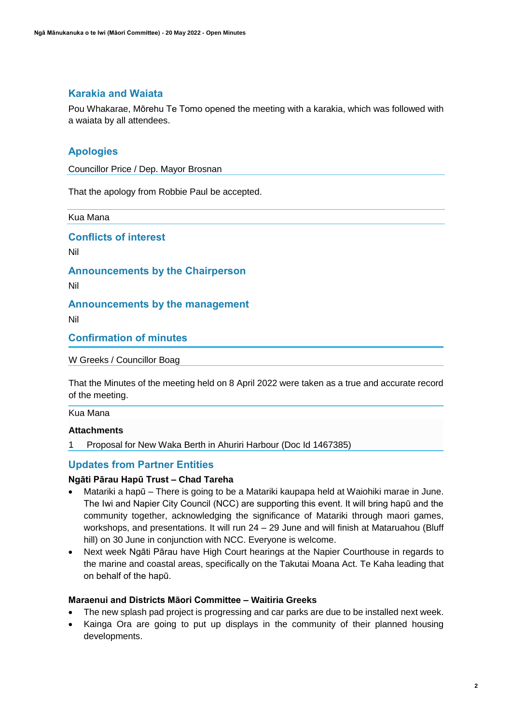## **Karakia and Waiata**

Pou Whakarae, Mōrehu Te Tomo opened the meeting with a karakia, which was followed with a waiata by all attendees.

## **Apologies**

Councillor Price / Dep. Mayor Brosnan

That the apology from Robbie Paul be accepted.

Kua Mana

**Conflicts of interest**

Nil

**Announcements by the Chairperson**

Nil

## **Announcements by the management**

Nil

**Confirmation of minutes**

W Greeks / Councillor Boag

That the Minutes of the meeting held on 8 April 2022 were taken as a true and accurate record of the meeting.

Kua Mana

## **Attachments**

1 Proposal for New Waka Berth in Ahuriri Harbour (Doc Id 1467385)

## **Updates from Partner Entities**

## **Ngāti Pārau Hapū Trust – Chad Tareha**

- Matariki a hapū There is going to be a Matariki kaupapa held at Waiohiki marae in June. The Iwi and Napier City Council (NCC) are supporting this event. It will bring hapū and the community together, acknowledging the significance of Matariki through maori games, workshops, and presentations. It will run 24 – 29 June and will finish at Mataruahou (Bluff hill) on 30 June in conjunction with NCC. Everyone is welcome.
- Next week Ngāti Pārau have High Court hearings at the Napier Courthouse in regards to the marine and coastal areas, specifically on the Takutai Moana Act. Te Kaha leading that on behalf of the hapū.

## **Maraenui and Districts Māori Committee – Waitiria Greeks**

- The new splash pad project is progressing and car parks are due to be installed next week.
- Kainga Ora are going to put up displays in the community of their planned housing developments.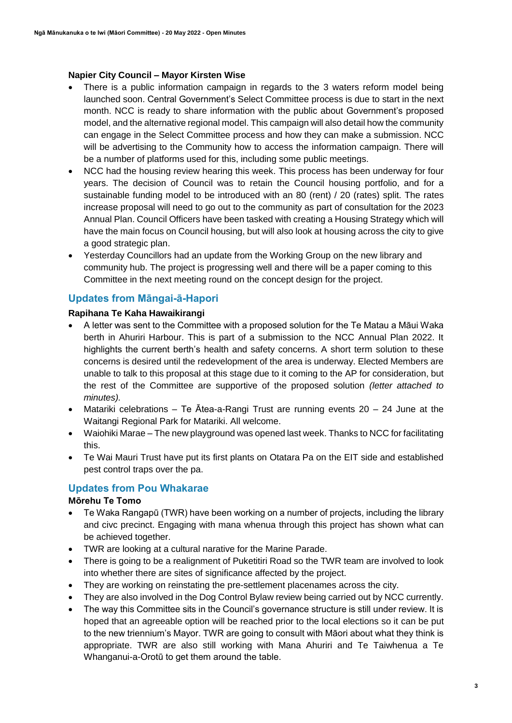## **Napier City Council – Mayor Kirsten Wise**

- There is a public information campaign in regards to the 3 waters reform model being launched soon. Central Government's Select Committee process is due to start in the next month. NCC is ready to share information with the public about Government's proposed model, and the alternative regional model. This campaign will also detail how the community can engage in the Select Committee process and how they can make a submission. NCC will be advertising to the Community how to access the information campaign. There will be a number of platforms used for this, including some public meetings.
- NCC had the housing review hearing this week. This process has been underway for four years. The decision of Council was to retain the Council housing portfolio, and for a sustainable funding model to be introduced with an 80 (rent) / 20 (rates) split. The rates increase proposal will need to go out to the community as part of consultation for the 2023 Annual Plan. Council Officers have been tasked with creating a Housing Strategy which will have the main focus on Council housing, but will also look at housing across the city to give a good strategic plan.
- Yesterday Councillors had an update from the Working Group on the new library and community hub. The project is progressing well and there will be a paper coming to this Committee in the next meeting round on the concept design for the project.

## **Updates from Māngai-ā-Hapori**

## **Rapihana Te Kaha Hawaikirangi**

- A letter was sent to the Committee with a proposed solution for the Te Matau a Māui Waka berth in Ahuriri Harbour. This is part of a submission to the NCC Annual Plan 2022. It highlights the current berth's health and safety concerns. A short term solution to these concerns is desired until the redevelopment of the area is underway. Elected Members are unable to talk to this proposal at this stage due to it coming to the AP for consideration, but the rest of the Committee are supportive of the proposed solution *(letter attached to minutes).*
- Matariki celebrations Te  $\bar{A}$ tea-a-Rangi Trust are running events 20 24 June at the Waitangi Regional Park for Matariki. All welcome.
- Waiohiki Marae The new playground was opened last week. Thanks to NCC for facilitating this.
- Te Wai Mauri Trust have put its first plants on Otatara Pa on the EIT side and established pest control traps over the pa.

## **Updates from Pou Whakarae**

## **Mōrehu Te Tomo**

- Te Waka Rangapū (TWR) have been working on a number of projects, including the library and civc precinct. Engaging with mana whenua through this project has shown what can be achieved together.
- TWR are looking at a cultural narative for the Marine Parade.
- There is going to be a realignment of Puketitiri Road so the TWR team are involved to look into whether there are sites of significance affected by the project.
- They are working on reinstating the pre-settlement placenames across the city.
- They are also involved in the Dog Control Bylaw review being carried out by NCC currently.
- The way this Committee sits in the Council's governance structure is still under review. It is hoped that an agreeable option will be reached prior to the local elections so it can be put to the new triennium's Mayor. TWR are going to consult with Māori about what they think is appropriate. TWR are also still working with Mana Ahuriri and Te Taiwhenua a Te Whanganui-a-Orotū to get them around the table.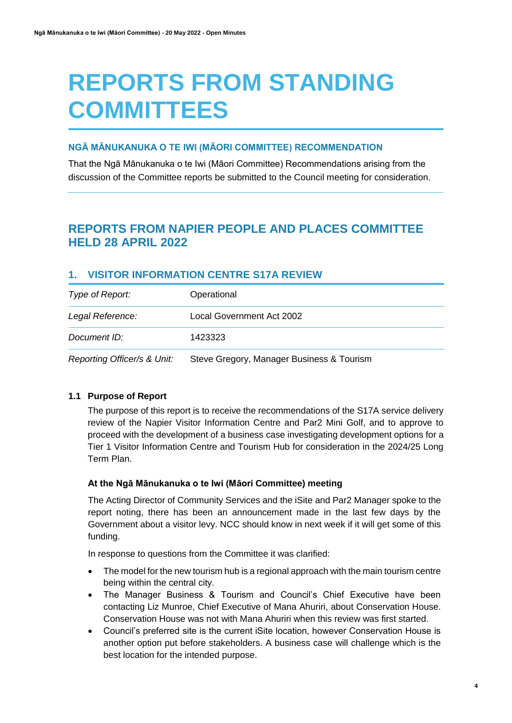# **REPORTS FROM STANDING COMMITTEES**

## **NGĀ MĀNUKANUKA O TE IWI (MĀORI COMMITTEE) RECOMMENDATION**

That the Ngā Mānukanuka o te Iwi (Māori Committee) Recommendations arising from the discussion of the Committee reports be submitted to the Council meeting for consideration.

## **REPORTS FROM NAPIER PEOPLE AND PLACES COMMITTEE HELD 28 APRIL 2022**

## **1. VISITOR INFORMATION CENTRE S17A REVIEW**

| Type of Report:             | Operational                               |
|-----------------------------|-------------------------------------------|
| Legal Reference:            | Local Government Act 2002                 |
| Document ID:                | 1423323                                   |
| Reporting Officer/s & Unit: | Steve Gregory, Manager Business & Tourism |

## **1.1 Purpose of Report**

The purpose of this report is to receive the recommendations of the S17A service delivery review of the Napier Visitor Information Centre and Par2 Mini Golf, and to approve to proceed with the development of a business case investigating development options for a Tier 1 Visitor Information Centre and Tourism Hub for consideration in the 2024/25 Long Term Plan.

#### **At the Ngā Mānukanuka o te Iwi (Māori Committee) meeting**

The Acting Director of Community Services and the iSite and Par2 Manager spoke to the report noting, there has been an announcement made in the last few days by the Government about a visitor levy. NCC should know in next week if it will get some of this funding.

In response to questions from the Committee it was clarified:

- The model for the new tourism hub is a regional approach with the main tourism centre being within the central city.
- The Manager Business & Tourism and Council's Chief Executive have been contacting Liz Munroe, Chief Executive of Mana Ahuriri, about Conservation House. Conservation House was not with Mana Ahuriri when this review was first started.
- Council's preferred site is the current iSite location, however Conservation House is another option put before stakeholders. A business case will challenge which is the best location for the intended purpose.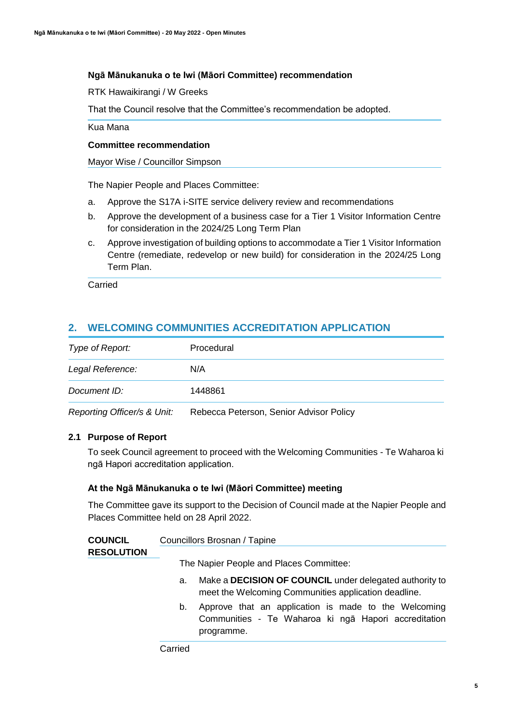## **Ngā Mānukanuka o te Iwi (Māori Committee) recommendation**

RTK Hawaikirangi / W Greeks

That the Council resolve that the Committee's recommendation be adopted.

Kua Mana

## **Committee recommendation**

Mayor Wise / Councillor Simpson

The Napier People and Places Committee:

- a. Approve the S17A i-SITE service delivery review and recommendations
- b. Approve the development of a business case for a Tier 1 Visitor Information Centre for consideration in the 2024/25 Long Term Plan
- c. Approve investigation of building options to accommodate a Tier 1 Visitor Information Centre (remediate, redevelop or new build) for consideration in the 2024/25 Long Term Plan.

Carried

## **2. WELCOMING COMMUNITIES ACCREDITATION APPLICATION**

| Type of Report:             | Procedural                              |
|-----------------------------|-----------------------------------------|
| Legal Reference:            | N/A                                     |
| Document ID:                | 1448861                                 |
| Reporting Officer/s & Unit: | Rebecca Peterson, Senior Advisor Policy |

## **2.1 Purpose of Report**

To seek Council agreement to proceed with the Welcoming Communities - Te Waharoa ki ngā Hapori accreditation application.

## **At the Ngā Mānukanuka o te Iwi (Māori Committee) meeting**

The Committee gave its support to the Decision of Council made at the Napier People and Places Committee held on 28 April 2022.

| <b>COUNCIL</b>    | Councillors Brosnan / Tapine |
|-------------------|------------------------------|
| <b>RESOLUTION</b> |                              |

The Napier People and Places Committee:

- a. Make a **DECISION OF COUNCIL** under delegated authority to meet the Welcoming Communities application deadline.
- b. Approve that an application is made to the Welcoming Communities - Te Waharoa ki ngā Hapori accreditation programme.

**Carried**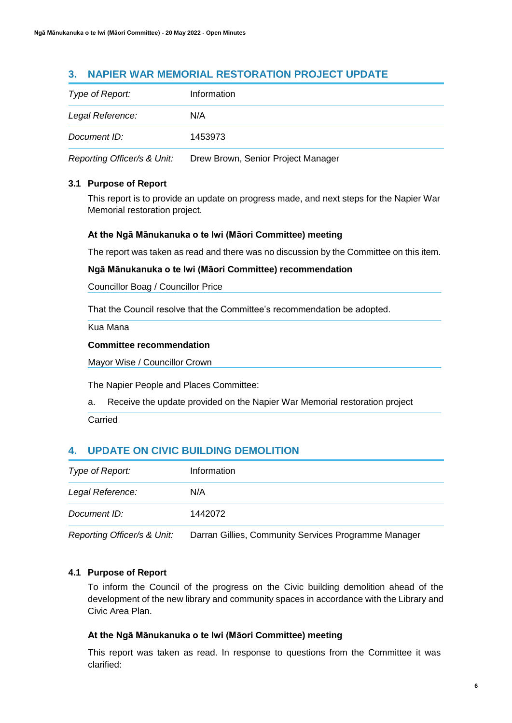## **3. NAPIER WAR MEMORIAL RESTORATION PROJECT UPDATE**

| Type of Report:             | Information                        |
|-----------------------------|------------------------------------|
| Legal Reference:            | N/A                                |
| Document ID:                | 1453973                            |
| Reporting Officer/s & Unit: | Drew Brown, Senior Project Manager |

## **3.1 Purpose of Report**

This report is to provide an update on progress made, and next steps for the Napier War Memorial restoration project.

## **At the Ngā Mānukanuka o te Iwi (Māori Committee) meeting**

The report was taken as read and there was no discussion by the Committee on this item.

## **Ngā Mānukanuka o te Iwi (Māori Committee) recommendation**

Councillor Boag / Councillor Price

That the Council resolve that the Committee's recommendation be adopted.

Kua Mana

#### **Committee recommendation**

Mayor Wise / Councillor Crown

The Napier People and Places Committee:

a. Receive the update provided on the Napier War Memorial restoration project

## **4. UPDATE ON CIVIC BUILDING DEMOLITION**

| Type of Report:             | Information                                          |
|-----------------------------|------------------------------------------------------|
| Legal Reference:            | N/A                                                  |
| Document ID:                | 1442072                                              |
| Reporting Officer/s & Unit: | Darran Gillies, Community Services Programme Manager |

## **4.1 Purpose of Report**

To inform the Council of the progress on the Civic building demolition ahead of the development of the new library and community spaces in accordance with the Library and Civic Area Plan.

## **At the Ngā Mānukanuka o te Iwi (Māori Committee) meeting**

This report was taken as read. In response to questions from the Committee it was clarified:

Carried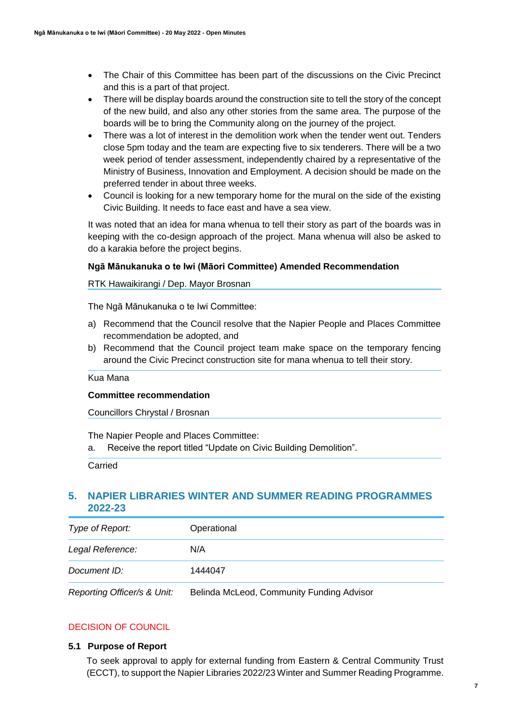- The Chair of this Committee has been part of the discussions on the Civic Precinct and this is a part of that project.
- There will be display boards around the construction site to tell the story of the concept of the new build, and also any other stories from the same area. The purpose of the boards will be to bring the Community along on the journey of the project.
- There was a lot of interest in the demolition work when the tender went out. Tenders close 5pm today and the team are expecting five to six tenderers. There will be a two week period of tender assessment, independently chaired by a representative of the Ministry of Business, Innovation and Employment. A decision should be made on the preferred tender in about three weeks.
- Council is looking for a new temporary home for the mural on the side of the existing Civic Building. It needs to face east and have a sea view.

It was noted that an idea for mana whenua to tell their story as part of the boards was in keeping with the co-design approach of the project. Mana whenua will also be asked to do a karakia before the project begins.

## **Ngā Mānukanuka o te Iwi (Māori Committee) Amended Recommendation**

RTK Hawaikirangi / Dep. Mayor Brosnan

The Ngā Mānukanuka o te Iwi Committee:

- a) Recommend that the Council resolve that the Napier People and Places Committee recommendation be adopted, and
- b) Recommend that the Council project team make space on the temporary fencing around the Civic Precinct construction site for mana whenua to tell their story.

Kua Mana

#### **Committee recommendation**

Councillors Chrystal / Brosnan

The Napier People and Places Committee:

a. Receive the report titled "Update on Civic Building Demolition".

Carried

## **5. NAPIER LIBRARIES WINTER AND SUMMER READING PROGRAMMES 2022-23**

| Type of Report:  | Operational |  |
|------------------|-------------|--|
| Legal Reference: | N/A         |  |
| Document ID:     | 1444047     |  |
|                  |             |  |

*Reporting Officer/s & Unit:* Belinda McLeod, Community Funding Advisor

## DECISION OF COUNCIL

## **5.1 Purpose of Report**

To seek approval to apply for external funding from Eastern & Central Community Trust (ECCT), to support the Napier Libraries 2022/23 Winter and Summer Reading Programme.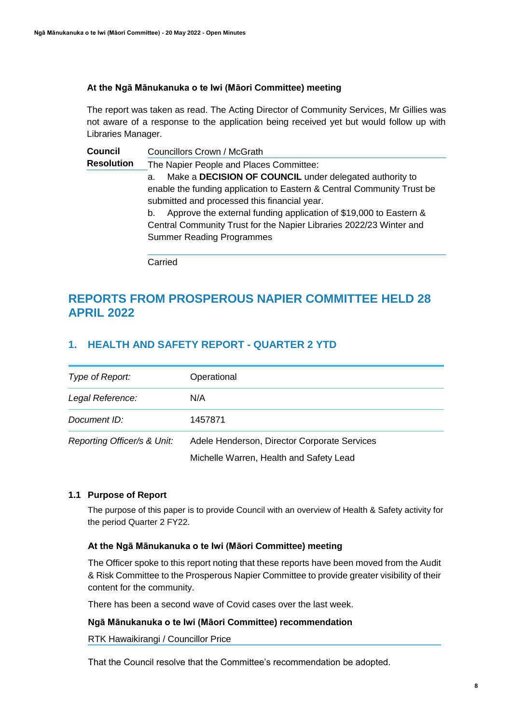## **At the Ngā Mānukanuka o te Iwi (Māori Committee) meeting**

The report was taken as read. The Acting Director of Community Services, Mr Gillies was not aware of a response to the application being received yet but would follow up with Libraries Manager.

**Council Resolution** Councillors Crown / McGrath The Napier People and Places Committee: a. Make a **DECISION OF COUNCIL** under delegated authority to enable the funding application to Eastern & Central Community Trust be submitted and processed this financial year. b. Approve the external funding application of \$19,000 to Eastern & Central Community Trust for the Napier Libraries 2022/23 Winter and Summer Reading Programmes

Carried

## **REPORTS FROM PROSPEROUS NAPIER COMMITTEE HELD 28 APRIL 2022**

## **1. HEALTH AND SAFETY REPORT - QUARTER 2 YTD**

| Type of Report:             | Operational                                  |
|-----------------------------|----------------------------------------------|
| Legal Reference:            | N/A                                          |
| Document ID:                | 1457871                                      |
| Reporting Officer/s & Unit: | Adele Henderson, Director Corporate Services |
|                             | Michelle Warren, Health and Safety Lead      |

## **1.1 Purpose of Report**

The purpose of this paper is to provide Council with an overview of Health & Safety activity for the period Quarter 2 FY22.

## **At the Ngā Mānukanuka o te Iwi (Māori Committee) meeting**

The Officer spoke to this report noting that these reports have been moved from the Audit & Risk Committee to the Prosperous Napier Committee to provide greater visibility of their content for the community.

There has been a second wave of Covid cases over the last week.

## **Ngā Mānukanuka o te Iwi (Māori Committee) recommendation**

RTK Hawaikirangi / Councillor Price

That the Council resolve that the Committee's recommendation be adopted.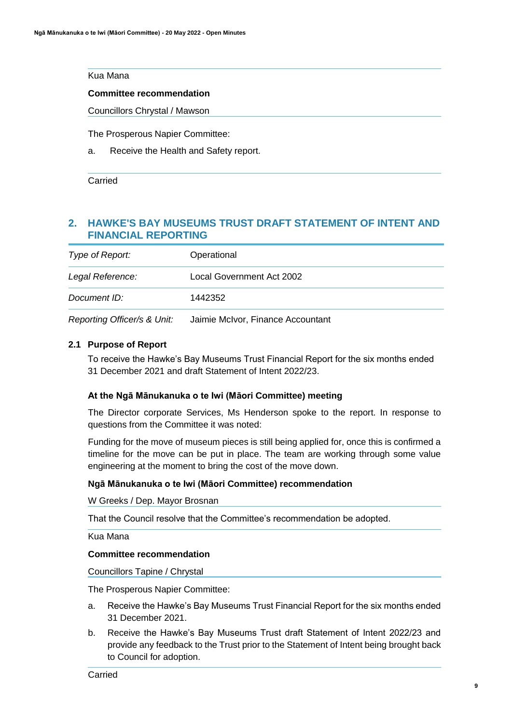## Kua Mana

#### **Committee recommendation**

Councillors Chrystal / Mawson

The Prosperous Napier Committee:

a. Receive the Health and Safety report.

Carried

## **2. HAWKE'S BAY MUSEUMS TRUST DRAFT STATEMENT OF INTENT AND FINANCIAL REPORTING**

| Type of Report:  | Operational               |
|------------------|---------------------------|
| Legal Reference: | Local Government Act 2002 |
| Document ID:     | 1442352                   |
|                  |                           |

*Reporting Officer/s & Unit:* Jaimie McIvor, Finance Accountant

## **2.1 Purpose of Report**

To receive the Hawke's Bay Museums Trust Financial Report for the six months ended 31 December 2021 and draft Statement of Intent 2022/23.

## **At the Ngā Mānukanuka o te Iwi (Māori Committee) meeting**

The Director corporate Services, Ms Henderson spoke to the report. In response to questions from the Committee it was noted:

Funding for the move of museum pieces is still being applied for, once this is confirmed a timeline for the move can be put in place. The team are working through some value engineering at the moment to bring the cost of the move down.

## **Ngā Mānukanuka o te Iwi (Māori Committee) recommendation**

W Greeks / Dep. Mayor Brosnan

That the Council resolve that the Committee's recommendation be adopted.

Kua Mana

#### **Committee recommendation**

Councillors Tapine / Chrystal

The Prosperous Napier Committee:

- a. Receive the Hawke's Bay Museums Trust Financial Report for the six months ended 31 December 2021.
- b. Receive the Hawke's Bay Museums Trust draft Statement of Intent 2022/23 and provide any feedback to the Trust prior to the Statement of Intent being brought back to Council for adoption.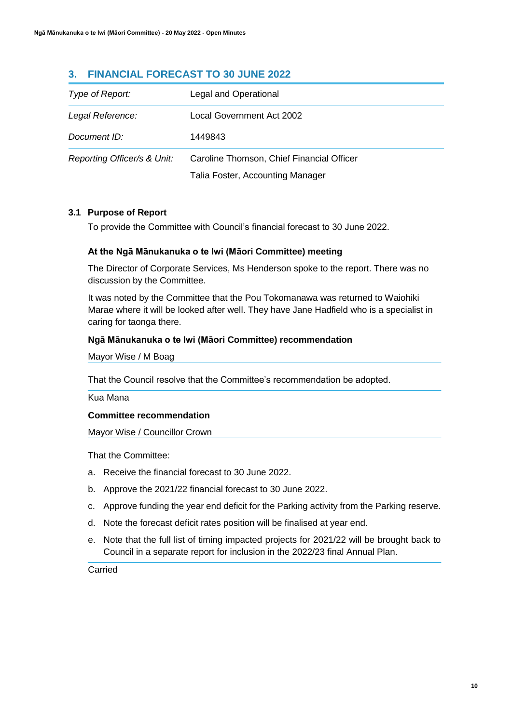## **3. FINANCIAL FORECAST TO 30 JUNE 2022**

| Type of Report:             | Legal and Operational                     |
|-----------------------------|-------------------------------------------|
| Legal Reference:            | Local Government Act 2002                 |
| Document ID:                | 1449843                                   |
| Reporting Officer/s & Unit: | Caroline Thomson, Chief Financial Officer |
|                             | Talia Foster, Accounting Manager          |

## **3.1 Purpose of Report**

To provide the Committee with Council's financial forecast to 30 June 2022.

## **At the Ngā Mānukanuka o te Iwi (Māori Committee) meeting**

The Director of Corporate Services, Ms Henderson spoke to the report. There was no discussion by the Committee.

It was noted by the Committee that the Pou Tokomanawa was returned to Waiohiki Marae where it will be looked after well. They have Jane Hadfield who is a specialist in caring for taonga there.

## **Ngā Mānukanuka o te Iwi (Māori Committee) recommendation**

Mayor Wise / M Boag

That the Council resolve that the Committee's recommendation be adopted.

Kua Mana

## **Committee recommendation**

Mayor Wise / Councillor Crown

That the Committee:

- a. Receive the financial forecast to 30 June 2022.
- b. Approve the 2021/22 financial forecast to 30 June 2022.
- c. Approve funding the year end deficit for the Parking activity from the Parking reserve.
- d. Note the forecast deficit rates position will be finalised at year end.
- e. Note that the full list of timing impacted projects for 2021/22 will be brought back to Council in a separate report for inclusion in the 2022/23 final Annual Plan.

Carried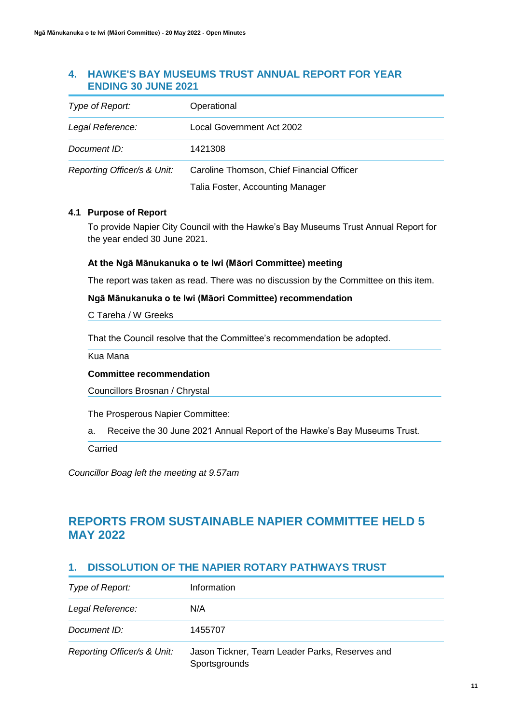## **4. HAWKE'S BAY MUSEUMS TRUST ANNUAL REPORT FOR YEAR ENDING 30 JUNE 2021**

| Type of Report:             | Operational                               |
|-----------------------------|-------------------------------------------|
| Legal Reference:            | Local Government Act 2002                 |
| Document ID:                | 1421308                                   |
| Reporting Officer/s & Unit: | Caroline Thomson, Chief Financial Officer |

Talia Foster, Accounting Manager

## **4.1 Purpose of Report**

To provide Napier City Council with the Hawke's Bay Museums Trust Annual Report for the year ended 30 June 2021.

## **At the Ngā Mānukanuka o te Iwi (Māori Committee) meeting**

The report was taken as read. There was no discussion by the Committee on this item.

## **Ngā Mānukanuka o te Iwi (Māori Committee) recommendation**

C Tareha / W Greeks

That the Council resolve that the Committee's recommendation be adopted.

Kua Mana

## **Committee recommendation**

Councillors Brosnan / Chrystal

The Prosperous Napier Committee:

a. Receive the 30 June 2021 Annual Report of the Hawke's Bay Museums Trust.

Carried

*Councillor Boag left the meeting at 9.57am*

# **REPORTS FROM SUSTAINABLE NAPIER COMMITTEE HELD 5 MAY 2022**

## **1. DISSOLUTION OF THE NAPIER ROTARY PATHWAYS TRUST**

| Type of Report:             | Information                                                     |
|-----------------------------|-----------------------------------------------------------------|
| Legal Reference:            | N/A                                                             |
| Document ID:                | 1455707                                                         |
| Reporting Officer/s & Unit: | Jason Tickner, Team Leader Parks, Reserves and<br>Sportsgrounds |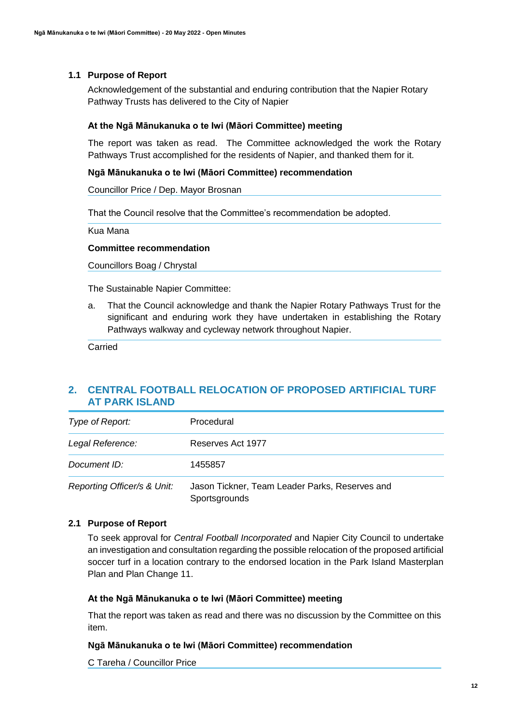Acknowledgement of the substantial and enduring contribution that the Napier Rotary Pathway Trusts has delivered to the City of Napier

#### **At the Ngā Mānukanuka o te Iwi (Māori Committee) meeting**

The report was taken as read. The Committee acknowledged the work the Rotary Pathways Trust accomplished for the residents of Napier, and thanked them for it.

#### **Ngā Mānukanuka o te Iwi (Māori Committee) recommendation**

Councillor Price / Dep. Mayor Brosnan

That the Council resolve that the Committee's recommendation be adopted.

Kua Mana

#### **Committee recommendation**

Councillors Boag / Chrystal

The Sustainable Napier Committee:

a. That the Council acknowledge and thank the Napier Rotary Pathways Trust for the significant and enduring work they have undertaken in establishing the Rotary Pathways walkway and cycleway network throughout Napier.

Carried

## **2. CENTRAL FOOTBALL RELOCATION OF PROPOSED ARTIFICIAL TURF AT PARK ISLAND**

| Type of Report:             | Procedural                                                      |
|-----------------------------|-----------------------------------------------------------------|
| Legal Reference:            | Reserves Act 1977                                               |
| Document ID:                | 1455857                                                         |
| Reporting Officer/s & Unit: | Jason Tickner, Team Leader Parks, Reserves and<br>Sportsgrounds |

## **2.1 Purpose of Report**

To seek approval for *Central Football Incorporated* and Napier City Council to undertake an investigation and consultation regarding the possible relocation of the proposed artificial soccer turf in a location contrary to the endorsed location in the Park Island Masterplan Plan and Plan Change 11.

## **At the Ngā Mānukanuka o te Iwi (Māori Committee) meeting**

That the report was taken as read and there was no discussion by the Committee on this item.

#### **Ngā Mānukanuka o te Iwi (Māori Committee) recommendation**

C Tareha / Councillor Price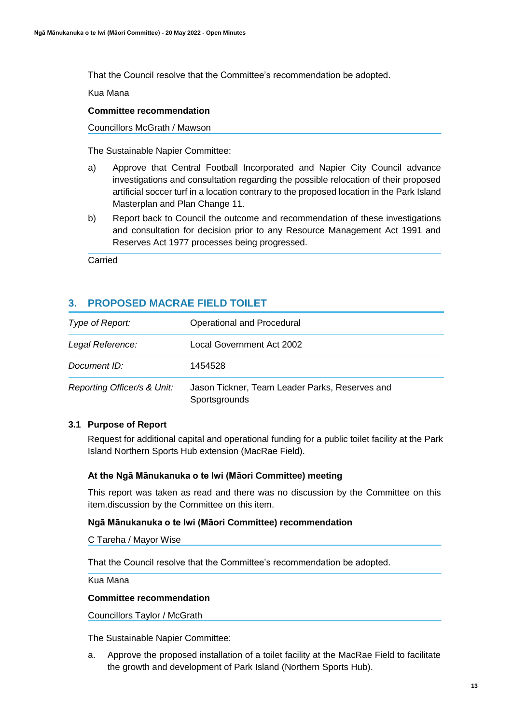That the Council resolve that the Committee's recommendation be adopted.

Kua Mana

## **Committee recommendation**

Councillors McGrath / Mawson

The Sustainable Napier Committee:

- a) Approve that Central Football Incorporated and Napier City Council advance investigations and consultation regarding the possible relocation of their proposed artificial soccer turf in a location contrary to the proposed location in the Park Island Masterplan and Plan Change 11.
- b) Report back to Council the outcome and recommendation of these investigations and consultation for decision prior to any Resource Management Act 1991 and Reserves Act 1977 processes being progressed.

Carried

## **3. PROPOSED MACRAE FIELD TOILET**

| Type of Report:             | Operational and Procedural                                      |
|-----------------------------|-----------------------------------------------------------------|
| Legal Reference:            | Local Government Act 2002                                       |
| Document ID:                | 1454528                                                         |
| Reporting Officer/s & Unit: | Jason Tickner, Team Leader Parks, Reserves and<br>Sportsgrounds |

## **3.1 Purpose of Report**

Request for additional capital and operational funding for a public toilet facility at the Park Island Northern Sports Hub extension (MacRae Field).

## **At the Ngā Mānukanuka o te Iwi (Māori Committee) meeting**

This report was taken as read and there was no discussion by the Committee on this item.discussion by the Committee on this item.

## **Ngā Mānukanuka o te Iwi (Māori Committee) recommendation**

C Tareha / Mayor Wise

That the Council resolve that the Committee's recommendation be adopted.

Kua Mana

## **Committee recommendation**

Councillors Taylor / McGrath

The Sustainable Napier Committee:

a. Approve the proposed installation of a toilet facility at the MacRae Field to facilitate the growth and development of Park Island (Northern Sports Hub).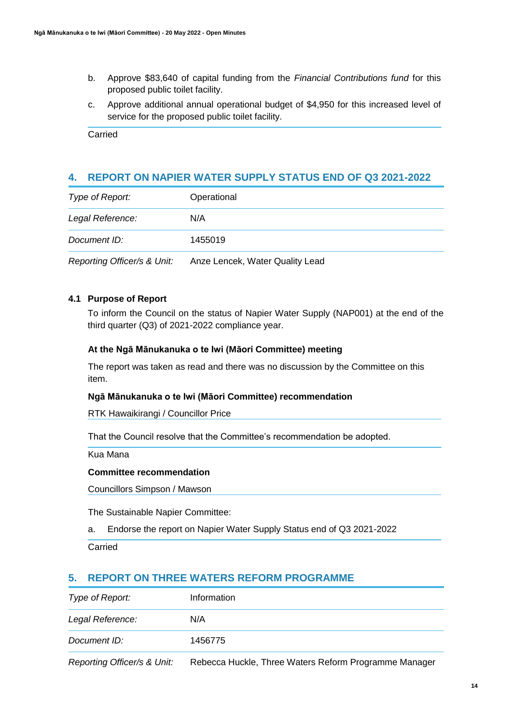- b. Approve \$83,640 of capital funding from the *Financial Contributions fund* for this proposed public toilet facility.
- c. Approve additional annual operational budget of \$4,950 for this increased level of service for the proposed public toilet facility.

Carried

## **4. REPORT ON NAPIER WATER SUPPLY STATUS END OF Q3 2021-2022**

| Type of Report:             | Operational                     |
|-----------------------------|---------------------------------|
| Legal Reference:            | N/A                             |
| Document ID:                | 1455019                         |
| Reporting Officer/s & Unit: | Anze Lencek, Water Quality Lead |

## **4.1 Purpose of Report**

To inform the Council on the status of Napier Water Supply (NAP001) at the end of the third quarter (Q3) of 2021-2022 compliance year.

## **At the Ngā Mānukanuka o te Iwi (Māori Committee) meeting**

The report was taken as read and there was no discussion by the Committee on this item.

## **Ngā Mānukanuka o te Iwi (Māori Committee) recommendation**

RTK Hawaikirangi / Councillor Price

That the Council resolve that the Committee's recommendation be adopted.

Kua Mana

## **Committee recommendation**

Councillors Simpson / Mawson

The Sustainable Napier Committee:

a. Endorse the report on Napier Water Supply Status end of Q3 2021-2022

Carried

## **5. REPORT ON THREE WATERS REFORM PROGRAMME**

| Type of Report:                                                                                                                                                                                                                                     | Information                                        |
|-----------------------------------------------------------------------------------------------------------------------------------------------------------------------------------------------------------------------------------------------------|----------------------------------------------------|
| Legal Reference:                                                                                                                                                                                                                                    | N/A                                                |
| Document ID:                                                                                                                                                                                                                                        | 1456775                                            |
| $\mathcal{L}$ . The set of the set of the set of the set of the set of the set of the set of the set of the set of the set of the set of the set of the set of the set of the set of the set of the set of the set of the set of t<br>$\sim$ $\sim$ | $\cdots$<br>. .<br>- -<br>$\overline{\phantom{a}}$ |

*Reporting Officer/s & Unit:* Rebecca Huckle, Three Waters Reform Programme Manager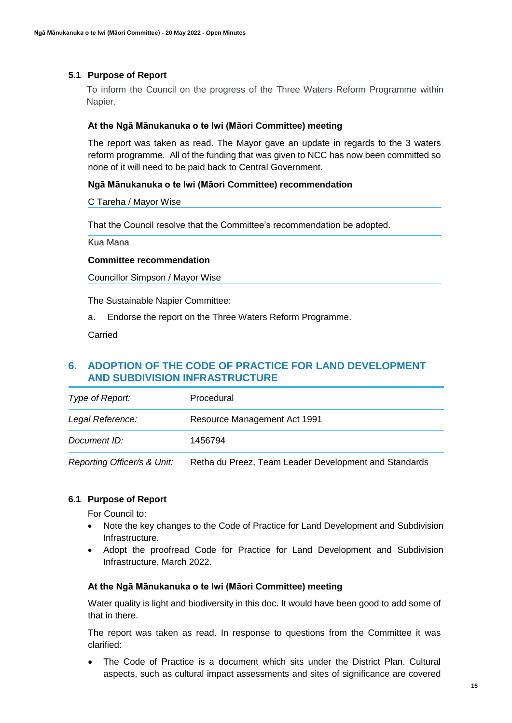To inform the Council on the progress of the Three Waters Reform Programme within Napier.

#### **At the Ngā Mānukanuka o te Iwi (Māori Committee) meeting**

The report was taken as read. The Mayor gave an update in regards to the 3 waters reform programme. All of the funding that was given to NCC has now been committed so none of it will need to be paid back to Central Government.

#### **Ngā Mānukanuka o te Iwi (Māori Committee) recommendation**

C Tareha / Mayor Wise

That the Council resolve that the Committee's recommendation be adopted.

Kua Mana

#### **Committee recommendation**

Councillor Simpson / Mayor Wise

The Sustainable Napier Committee:

a. Endorse the report on the Three Waters Reform Programme.

**Carried** 

## **6. ADOPTION OF THE CODE OF PRACTICE FOR LAND DEVELOPMENT AND SUBDIVISION INFRASTRUCTURE**

| Type of Report:  | Procedural                   |
|------------------|------------------------------|
| Legal Reference: | Resource Management Act 1991 |
| Document ID:     | 1456794                      |

*Reporting Officer/s & Unit:* Retha du Preez, Team Leader Development and Standards

## **6.1 Purpose of Report**

For Council to:

- Note the key changes to the Code of Practice for Land Development and Subdivision Infrastructure.
- Adopt the proofread Code for Practice for Land Development and Subdivision Infrastructure, March 2022.

## **At the Ngā Mānukanuka o te Iwi (Māori Committee) meeting**

Water quality is light and biodiversity in this doc. It would have been good to add some of that in there.

The report was taken as read. In response to questions from the Committee it was clarified:

 The Code of Practice is a document which sits under the District Plan. Cultural aspects, such as cultural impact assessments and sites of significance are covered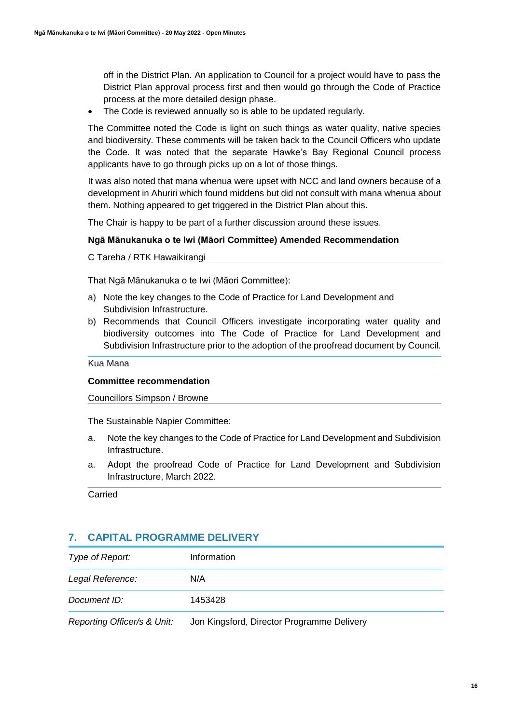off in the District Plan. An application to Council for a project would have to pass the District Plan approval process first and then would go through the Code of Practice process at the more detailed design phase.

• The Code is reviewed annually so is able to be updated regularly.

The Committee noted the Code is light on such things as water quality, native species and biodiversity. These comments will be taken back to the Council Officers who update the Code. It was noted that the separate Hawke's Bay Regional Council process applicants have to go through picks up on a lot of those things.

It was also noted that mana whenua were upset with NCC and land owners because of a development in Ahuriri which found middens but did not consult with mana whenua about them. Nothing appeared to get triggered in the District Plan about this.

The Chair is happy to be part of a further discussion around these issues.

## **Ngā Mānukanuka o te Iwi (Māori Committee) Amended Recommendation**

C Tareha / RTK Hawaikirangi

That Ngā Mānukanuka o te Iwi (Māori Committee):

- a) Note the key changes to the Code of Practice for Land Development and Subdivision Infrastructure.
- b) Recommends that Council Officers investigate incorporating water quality and biodiversity outcomes into The Code of Practice for Land Development and Subdivision Infrastructure prior to the adoption of the proofread document by Council.

Kua Mana

## **Committee recommendation**

Councillors Simpson / Browne

The Sustainable Napier Committee:

- a. Note the key changes to the Code of Practice for Land Development and Subdivision Infrastructure.
- a. Adopt the proofread Code of Practice for Land Development and Subdivision Infrastructure, March 2022.

Carried

## **7. CAPITAL PROGRAMME DELIVERY**

| Type of Report:  | Information |
|------------------|-------------|
| Legal Reference: | N/A         |
| Document ID:     | 1453428     |
|                  |             |

*Reporting Officer/s & Unit:* Jon Kingsford, Director Programme Delivery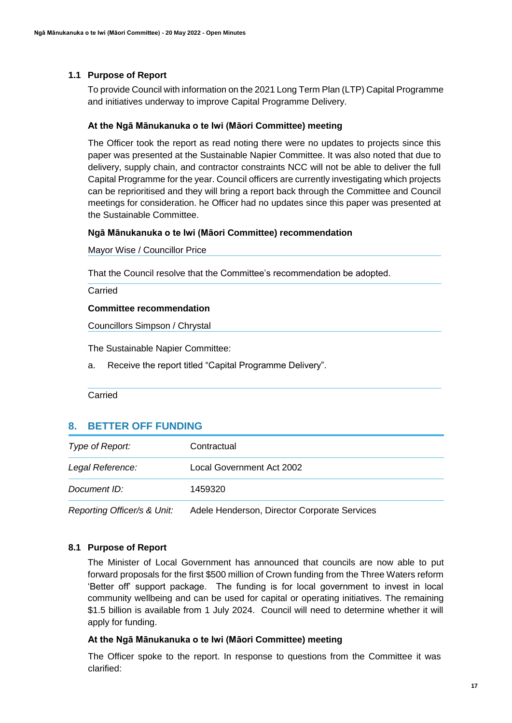To provide Council with information on the 2021 Long Term Plan (LTP) Capital Programme and initiatives underway to improve Capital Programme Delivery.

#### **At the Ngā Mānukanuka o te Iwi (Māori Committee) meeting**

The Officer took the report as read noting there were no updates to projects since this paper was presented at the Sustainable Napier Committee. It was also noted that due to delivery, supply chain, and contractor constraints NCC will not be able to deliver the full Capital Programme for the year. Council officers are currently investigating which projects can be reprioritised and they will bring a report back through the Committee and Council meetings for consideration. he Officer had no updates since this paper was presented at the Sustainable Committee.

#### **Ngā Mānukanuka o te Iwi (Māori Committee) recommendation**

Mayor Wise / Councillor Price

That the Council resolve that the Committee's recommendation be adopted.

Carried

#### **Committee recommendation**

Councillors Simpson / Chrystal

The Sustainable Napier Committee:

a. Receive the report titled "Capital Programme Delivery".

Carried

## **8. BETTER OFF FUNDING**

| Type of Report:                                                                                                                                                                                                                   | Contractual               |
|-----------------------------------------------------------------------------------------------------------------------------------------------------------------------------------------------------------------------------------|---------------------------|
| Legal Reference:                                                                                                                                                                                                                  | Local Government Act 2002 |
| Document ID:                                                                                                                                                                                                                      | 1459320                   |
| $\mathbf{r}$ . The state of the state of the state of the state of the state of the state of the state of the state of the state of the state of the state of the state of the state of the state of the state of the state of th |                           |

*Reporting Officer/s & Unit:* Adele Henderson, Director Corporate Services

## **8.1 Purpose of Report**

The Minister of Local Government has announced that councils are now able to put forward proposals for the first \$500 million of Crown funding from the Three Waters reform 'Better off' support package. The funding is for local government to invest in local community wellbeing and can be used for capital or operating initiatives. The remaining \$1.5 billion is available from 1 July 2024. Council will need to determine whether it will apply for funding.

#### **At the Ngā Mānukanuka o te Iwi (Māori Committee) meeting**

The Officer spoke to the report. In response to questions from the Committee it was clarified: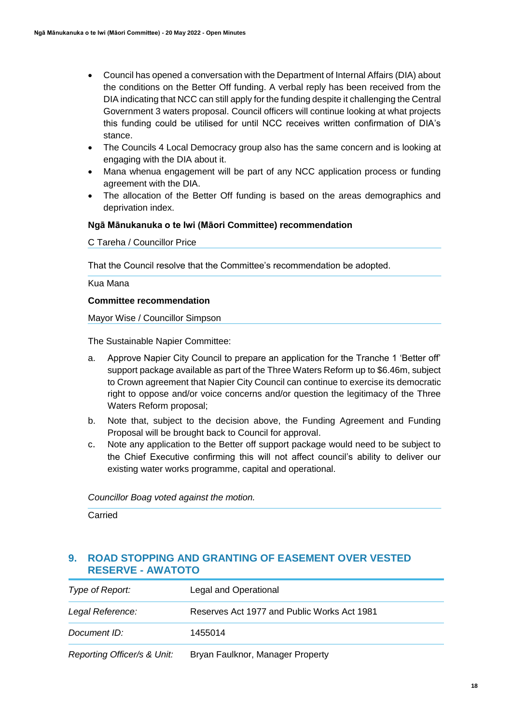- Council has opened a conversation with the Department of Internal Affairs (DIA) about the conditions on the Better Off funding. A verbal reply has been received from the DIA indicating that NCC can still apply for the funding despite it challenging the Central Government 3 waters proposal. Council officers will continue looking at what projects this funding could be utilised for until NCC receives written confirmation of DIA's stance.
- The Councils 4 Local Democracy group also has the same concern and is looking at engaging with the DIA about it.
- Mana whenua engagement will be part of any NCC application process or funding agreement with the DIA.
- The allocation of the Better Off funding is based on the areas demographics and deprivation index.

## **Ngā Mānukanuka o te Iwi (Māori Committee) recommendation**

C Tareha / Councillor Price

That the Council resolve that the Committee's recommendation be adopted.

Kua Mana

## **Committee recommendation**

Mayor Wise / Councillor Simpson

The Sustainable Napier Committee:

- a. Approve Napier City Council to prepare an application for the Tranche 1 'Better off' support package available as part of the Three Waters Reform up to \$6.46m, subject to Crown agreement that Napier City Council can continue to exercise its democratic right to oppose and/or voice concerns and/or question the legitimacy of the Three Waters Reform proposal;
- b. Note that, subject to the decision above, the Funding Agreement and Funding Proposal will be brought back to Council for approval.
- c. Note any application to the Better off support package would need to be subject to the Chief Executive confirming this will not affect council's ability to deliver our existing water works programme, capital and operational.

*Councillor Boag voted against the motion.*

Carried

## **9. ROAD STOPPING AND GRANTING OF EASEMENT OVER VESTED RESERVE - AWATOTO**

| Type of Report:             | Legal and Operational                       |
|-----------------------------|---------------------------------------------|
| Legal Reference:            | Reserves Act 1977 and Public Works Act 1981 |
| Document ID:                | 1455014                                     |
| Reporting Officer/s & Unit: | Bryan Faulknor, Manager Property            |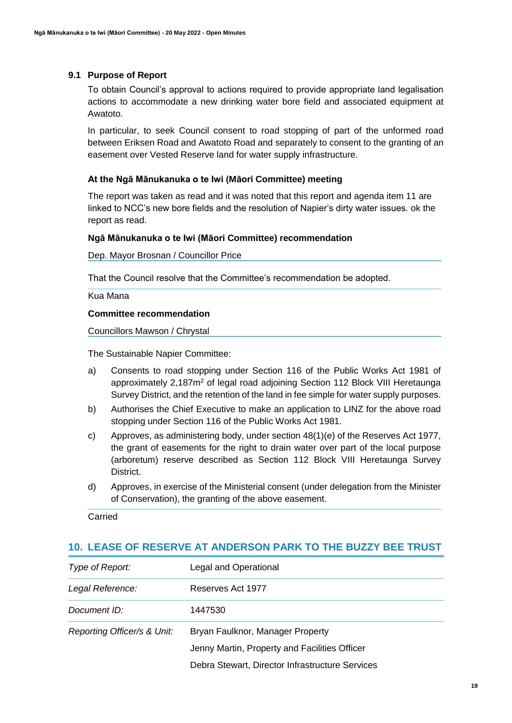To obtain Council's approval to actions required to provide appropriate land legalisation actions to accommodate a new drinking water bore field and associated equipment at Awatoto.

In particular, to seek Council consent to road stopping of part of the unformed road between Eriksen Road and Awatoto Road and separately to consent to the granting of an easement over Vested Reserve land for water supply infrastructure.

## **At the Ngā Mānukanuka o te Iwi (Māori Committee) meeting**

The report was taken as read and it was noted that this report and agenda item 11 are linked to NCC's new bore fields and the resolution of Napier's dirty water issues. ok the report as read.

## **Ngā Mānukanuka o te Iwi (Māori Committee) recommendation**

Dep. Mayor Brosnan / Councillor Price

That the Council resolve that the Committee's recommendation be adopted.

Kua Mana

#### **Committee recommendation**

Councillors Mawson / Chrystal

The Sustainable Napier Committee:

- a) Consents to road stopping under Section 116 of the Public Works Act 1981 of approximately 2,187m<sup>2</sup> of legal road adjoining Section 112 Block VIII Heretaunga Survey District, and the retention of the land in fee simple for water supply purposes.
- b) Authorises the Chief Executive to make an application to LINZ for the above road stopping under Section 116 of the Public Works Act 1981.
- c) Approves, as administering body, under section 48(1)(e) of the Reserves Act 1977, the grant of easements for the right to drain water over part of the local purpose (arboretum) reserve described as Section 112 Block VIII Heretaunga Survey District.
- d) Approves, in exercise of the Ministerial consent (under delegation from the Minister of Conservation), the granting of the above easement.

Carried

## **10. LEASE OF RESERVE AT ANDERSON PARK TO THE BUZZY BEE TRUST**

| Type of Report:             | Legal and Operational                           |
|-----------------------------|-------------------------------------------------|
| Legal Reference:            | Reserves Act 1977                               |
| Document ID:                | 1447530                                         |
| Reporting Officer/s & Unit: | Bryan Faulknor, Manager Property                |
|                             | Jenny Martin, Property and Facilities Officer   |
|                             | Debra Stewart, Director Infrastructure Services |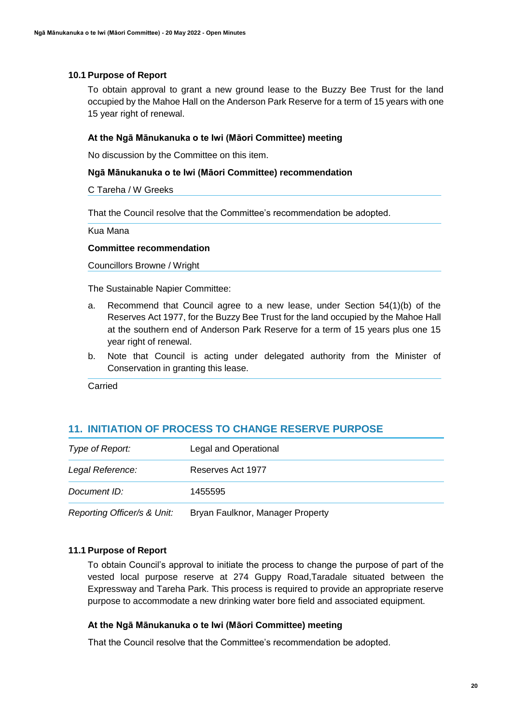To obtain approval to grant a new ground lease to the Buzzy Bee Trust for the land occupied by the Mahoe Hall on the Anderson Park Reserve for a term of 15 years with one 15 year right of renewal.

## **At the Ngā Mānukanuka o te Iwi (Māori Committee) meeting**

No discussion by the Committee on this item.

#### **Ngā Mānukanuka o te Iwi (Māori Committee) recommendation**

#### C Tareha / W Greeks

That the Council resolve that the Committee's recommendation be adopted.

Kua Mana

#### **Committee recommendation**

Councillors Browne / Wright

The Sustainable Napier Committee:

- a. Recommend that Council agree to a new lease, under Section 54(1)(b) of the Reserves Act 1977, for the Buzzy Bee Trust for the land occupied by the Mahoe Hall at the southern end of Anderson Park Reserve for a term of 15 years plus one 15 year right of renewal.
- b. Note that Council is acting under delegated authority from the Minister of Conservation in granting this lease.

Carried

## **11. INITIATION OF PROCESS TO CHANGE RESERVE PURPOSE**

| Type of Report:             | Legal and Operational            |
|-----------------------------|----------------------------------|
| Legal Reference:            | Reserves Act 1977                |
| Document ID:                | 1455595                          |
| Reporting Officer/s & Unit: | Bryan Faulknor, Manager Property |

## **11.1 Purpose of Report**

To obtain Council's approval to initiate the process to change the purpose of part of the vested local purpose reserve at 274 Guppy Road,Taradale situated between the Expressway and Tareha Park. This process is required to provide an appropriate reserve purpose to accommodate a new drinking water bore field and associated equipment.

## **At the Ngā Mānukanuka o te Iwi (Māori Committee) meeting**

That the Council resolve that the Committee's recommendation be adopted.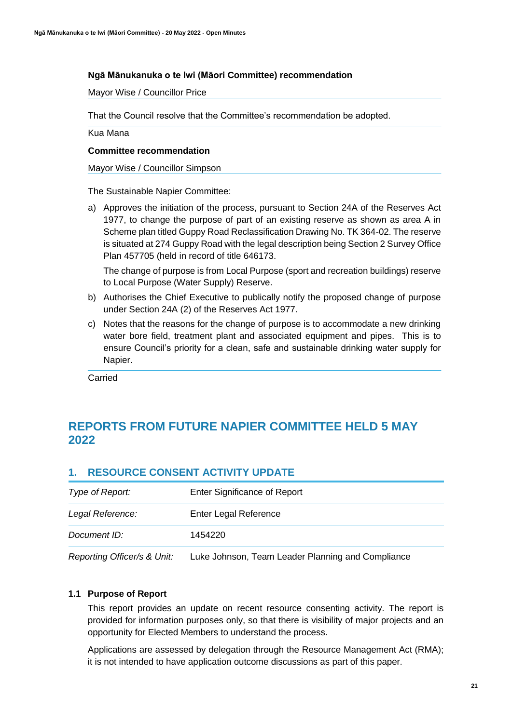## **Ngā Mānukanuka o te Iwi (Māori Committee) recommendation**

Mayor Wise / Councillor Price

That the Council resolve that the Committee's recommendation be adopted.

Kua Mana

#### **Committee recommendation**

Mayor Wise / Councillor Simpson

The Sustainable Napier Committee:

a) Approves the initiation of the process, pursuant to Section 24A of the Reserves Act 1977, to change the purpose of part of an existing reserve as shown as area A in Scheme plan titled Guppy Road Reclassification Drawing No. TK 364-02. The reserve is situated at 274 Guppy Road with the legal description being Section 2 Survey Office Plan 457705 (held in record of title 646173.

The change of purpose is from Local Purpose (sport and recreation buildings) reserve to Local Purpose (Water Supply) Reserve.

- b) Authorises the Chief Executive to publically notify the proposed change of purpose under Section 24A (2) of the Reserves Act 1977.
- c) Notes that the reasons for the change of purpose is to accommodate a new drinking water bore field, treatment plant and associated equipment and pipes. This is to ensure Council's priority for a clean, safe and sustainable drinking water supply for Napier.

Carried

# **REPORTS FROM FUTURE NAPIER COMMITTEE HELD 5 MAY 2022**

## **1. RESOURCE CONSENT ACTIVITY UPDATE**

| Donomina Officera 0 Ilpit | Luke Johnson, Toom Looder Dlonning and Compliance |
|---------------------------|---------------------------------------------------|
| Document ID:              | 1454220                                           |
| Legal Reference:          | Enter Legal Reference                             |
| Type of Report:           | Enter Significance of Report                      |

*Reporting Officer/s & Unit:* Luke Johnson, Team Leader Planning and Compliance

## **1.1 Purpose of Report**

This report provides an update on recent resource consenting activity. The report is provided for information purposes only, so that there is visibility of major projects and an opportunity for Elected Members to understand the process.

Applications are assessed by delegation through the Resource Management Act (RMA); it is not intended to have application outcome discussions as part of this paper.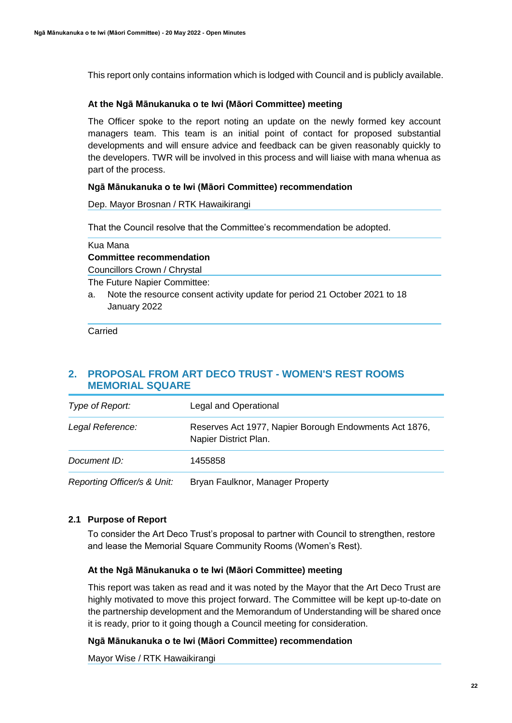This report only contains information which is lodged with Council and is publicly available.

## **At the Ngā Mānukanuka o te Iwi (Māori Committee) meeting**

The Officer spoke to the report noting an update on the newly formed key account managers team. This team is an initial point of contact for proposed substantial developments and will ensure advice and feedback can be given reasonably quickly to the developers. TWR will be involved in this process and will liaise with mana whenua as part of the process.

## **Ngā Mānukanuka o te Iwi (Māori Committee) recommendation**

Dep. Mayor Brosnan / RTK Hawaikirangi

That the Council resolve that the Committee's recommendation be adopted.

Kua Mana

## **Committee recommendation**

Councillors Crown / Chrystal

The Future Napier Committee:

a. Note the resource consent activity update for period 21 October 2021 to 18 January 2022

Carried

## **2. PROPOSAL FROM ART DECO TRUST - WOMEN'S REST ROOMS MEMORIAL SQUARE**

| Type of Report:             | Legal and Operational                                                           |
|-----------------------------|---------------------------------------------------------------------------------|
| Legal Reference:            | Reserves Act 1977, Napier Borough Endowments Act 1876,<br>Napier District Plan. |
| Document ID:                | 1455858                                                                         |
| Reporting Officer/s & Unit: | Bryan Faulknor, Manager Property                                                |

## **2.1 Purpose of Report**

To consider the Art Deco Trust's proposal to partner with Council to strengthen, restore and lease the Memorial Square Community Rooms (Women's Rest).

## **At the Ngā Mānukanuka o te Iwi (Māori Committee) meeting**

This report was taken as read and it was noted by the Mayor that the Art Deco Trust are highly motivated to move this project forward. The Committee will be kept up-to-date on the partnership development and the Memorandum of Understanding will be shared once it is ready, prior to it going though a Council meeting for consideration.

## **Ngā Mānukanuka o te Iwi (Māori Committee) recommendation**

Mayor Wise / RTK Hawaikirangi